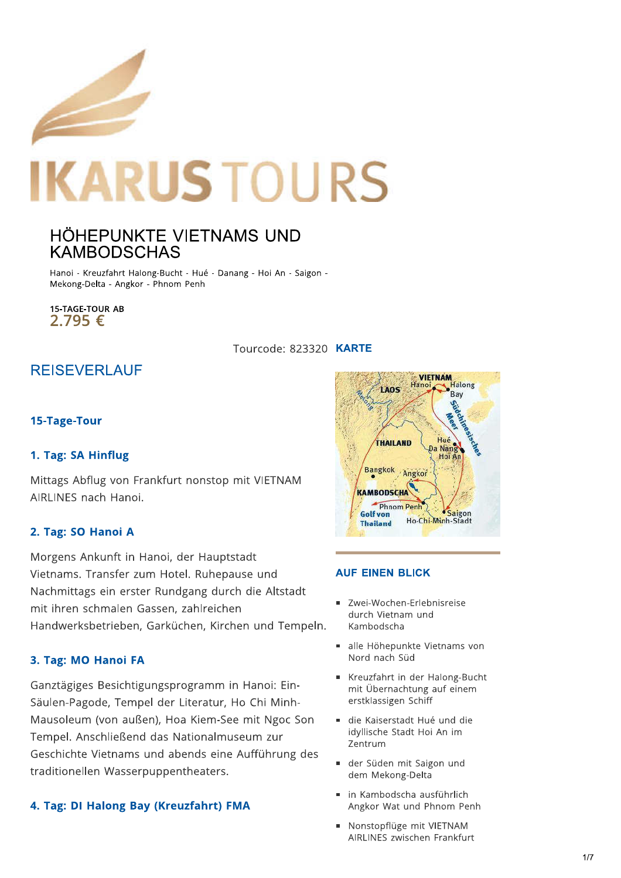

# HÖHEPUNKTE VIETNAMS UND **KAMBODSCHAS**

Hanoi - Kreuzfahrt Halong-Bucht - Hué - Danang - Hoi An - Saigon -Mekong-Delta - Angkor - Phnom Penh

**15-TAGE-TOUR AB** 2.795€

Tourcode: 823320 KARTE

# **REISEVERLAUF**

#### 15-Tage-Tour

#### 1. Tag: SA Hinflug

Mittags Abflug von Frankfurt nonstop mit VIETNAM AIRLINES nach Hanoi.

#### 2. Tag: SO Hanoi A

Morgens Ankunft in Hanoi, der Hauptstadt Vietnams. Transfer zum Hotel. Ruhepause und Nachmittags ein erster Rundgang durch die Altstadt mit ihren schmalen Gassen, zahlreichen Handwerksbetrieben, Garküchen, Kirchen und Tempeln.

### 3. Tag: MO Hanoi FA

Ganztägiges Besichtigungsprogramm in Hanoi: Ein-Säulen-Pagode, Tempel der Literatur, Ho Chi Minh-Mausoleum (von außen), Hoa Kiem-See mit Ngoc Son Tempel. Anschließend das Nationalmuseum zur Geschichte Vietnams und abends eine Aufführung des traditionellen Wasserpuppentheaters.

#### 4. Tag: DI Halong Bay (Kreuzfahrt) FMA



#### **AUF EINEN BLICK**

- · Zwei-Wochen-Erlebnisreise durch Vietnam und Kambodscha
- alle Höhepunkte Vietnams von Nord nach Süd
- Kreuzfahrt in der Halong-Bucht mit Übernachtung auf einem erstklassigen Schiff
- die Kaiserstadt Hué und die idvllische Stadt Hoi An im Zentrum
- der Süden mit Saigon und dem Mekong-Delta
- in Kambodscha ausführlich Angkor Wat und Phnom Penh
- Nonstopflüge mit VIETNAM AIRLINES zwischen Frankfurt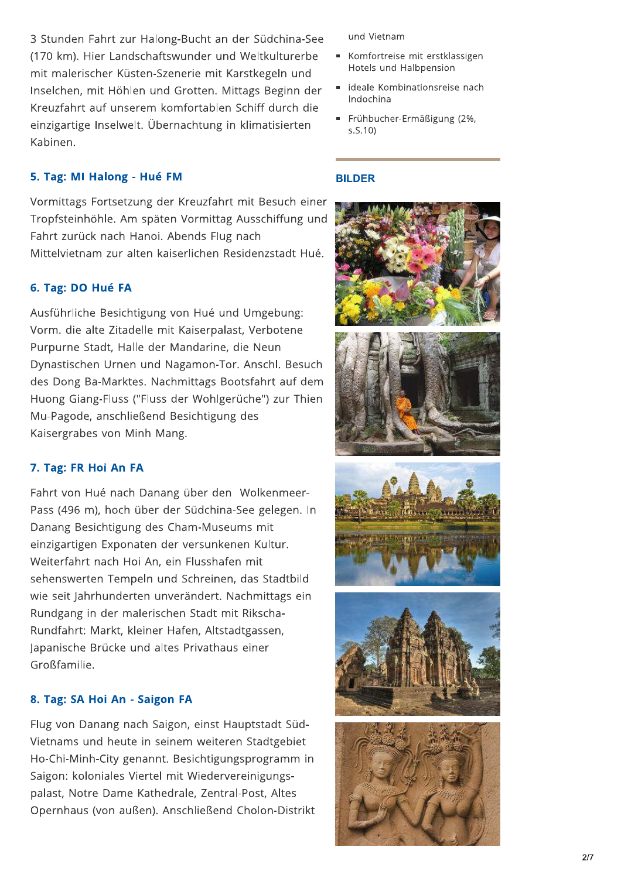3 Stunden Fahrt zur Halong-Bucht an der Südchina-See (170 km). Hier Landschaftswunder und Weltkulturerbe mit malerischer Küsten-Szenerie mit Karstkegeln und Inselchen, mit Höhlen und Grotten. Mittags Beginn der Kreuzfahrt auf unserem komfortablen Schiff durch die einzigartige Inselwelt. Übernachtung in klimatisierten Kabinen.

## 5. Tag: MI Halong - Hué FM

Vormittags Fortsetzung der Kreuzfahrt mit Besuch einer Tropfsteinhöhle. Am späten Vormittag Ausschiffung und Fahrt zurück nach Hanoi. Abends Flug nach Mittelvietnam zur alten kaiserlichen Residenzstadt Hué.

#### 6. Tag: DO Hué FA

Ausführliche Besichtigung von Hué und Umgebung: Vorm. die alte Zitadelle mit Kaiserpalast, Verbotene Purpurne Stadt, Halle der Mandarine, die Neun Dynastischen Urnen und Nagamon-Tor. Anschl. Besuch des Dong Ba-Marktes. Nachmittags Bootsfahrt auf dem Huong Giang-Fluss ("Fluss der Wohlgerüche") zur Thien Mu-Pagode, anschließend Besichtigung des Kaisergrabes von Minh Mang.

#### 7. Tag: FR Hoi An FA

Fahrt von Hué nach Danang über den Wolkenmeer-Pass (496 m), hoch über der Südchina-See gelegen. In Danang Besichtigung des Cham-Museums mit einzigartigen Exponaten der versunkenen Kultur. Weiterfahrt nach Hoi An, ein Flusshafen mit sehenswerten Tempeln und Schreinen, das Stadtbild wie seit Jahrhunderten unverändert. Nachmittags ein Rundgang in der malerischen Stadt mit Rikscha-Rundfahrt: Markt, kleiner Hafen, Altstadtgassen, Japanische Brücke und altes Privathaus einer Großfamilie.

#### 8. Tag: SA Hoi An - Saigon FA

Flug von Danang nach Saigon, einst Hauptstadt Süd-Vietnams und heute in seinem weiteren Stadtgebiet Ho-Chi-Minh-City genannt. Besichtigungsprogramm in Saigon: koloniales Viertel mit Wiedervereinigungspalast, Notre Dame Kathedrale, Zentral-Post, Altes Opernhaus (von außen). Anschließend Cholon-Distrikt und Vietnam

- Komfortreise mit erstklassigen Hotels und Halbpension
- ideale Kombinationsreise nach Indochina
- Frühbucher-Ermäßigung (2%,  $s.S.10$

#### **BILDER**

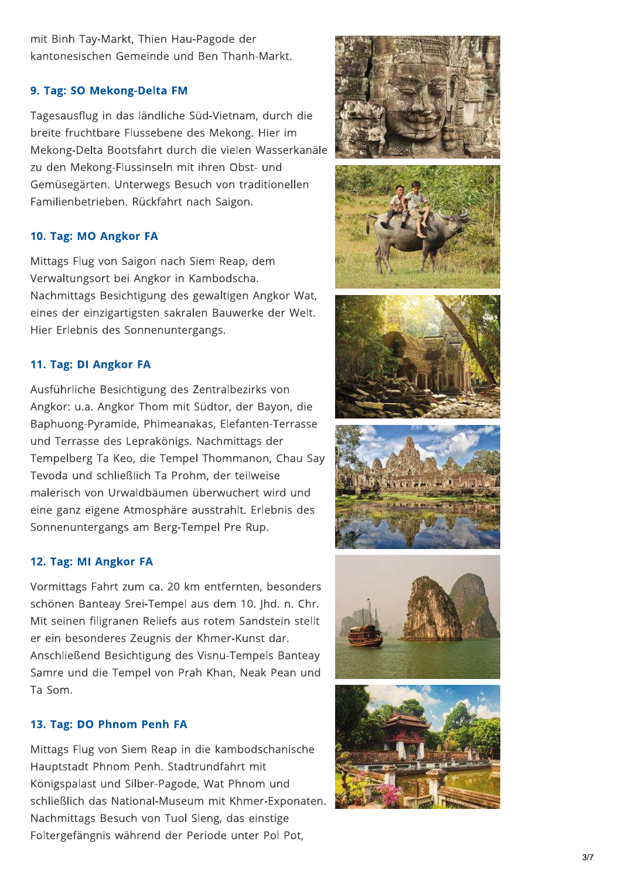mit Binh Tay-Markt, Thien Hau-Pagode der kantonesischen Gemeinde und Ben Thanh-Markt.

### 9. Tag: SO Mekong-Delta FM

Tagesausflug in das ländliche Süd-Vietnam, durch die breite fruchtbare Flussebene des Mekong. Hier im Mekong-Delta Bootsfahrt durch die vielen Wasserkanäle zu den Mekong-Flussinseln mit ihren Obst- und Gemüsegärten. Unterwegs Besuch von traditionellen Familienbetrieben. Rückfahrt nach Saigon.

#### 10. Tag: MO Angkor FA

Mittags Flug von Saigon nach Siem Reap, dem Verwaltungsort bei Angkor in Kambodscha. Nachmittags Besichtigung des gewaltigen Angkor Wat, eines der einzigartigsten sakralen Bauwerke der Welt. Hier Erlebnis des Sonnenuntergangs.

### 11. Tag: DI Angkor FA

Ausführliche Besichtigung des Zentralbezirks von Angkor: u.a. Angkor Thom mit Südtor, der Bayon, die Baphuong-Pyramide, Phimeanakas, Elefanten-Terrasse und Terrasse des Leprakönigs. Nachmittags der Tempelberg Ta Keo, die Tempel Thommanon, Chau Say Tevoda und schließlich Ta Prohm, der teilweise malerisch von Urwaldbäumen überwuchert wird und eine ganz eigene Atmosphäre ausstrahlt. Erlebnis des Sonnenuntergangs am Berg-Tempel Pre Rup.

#### 12. Tag: MI Angkor FA

Vormittags Fahrt zum ca. 20 km entfernten, besonders schönen Banteay Srei-Tempel aus dem 10. Jhd. n. Chr. Mit seinen filigranen Reliefs aus rotem Sandstein stellt er ein besonderes Zeugnis der Khmer-Kunst dar. Anschließend Besichtigung des Visnu-Tempels Banteay Samre und die Tempel von Prah Khan, Neak Pean und Ta Som.

#### 13. Tag: DO Phnom Penh FA

Mittags Flug von Siem Reap in die kambodschanische Hauptstadt Phnom Penh. Stadtrundfahrt mit Königspalast und Silber-Pagode, Wat Phnom und schließlich das National-Museum mit Khmer-Exponaten. Nachmittags Besuch von Tuol Sleng, das einstige Foltergefängnis während der Periode unter Pol Pot,

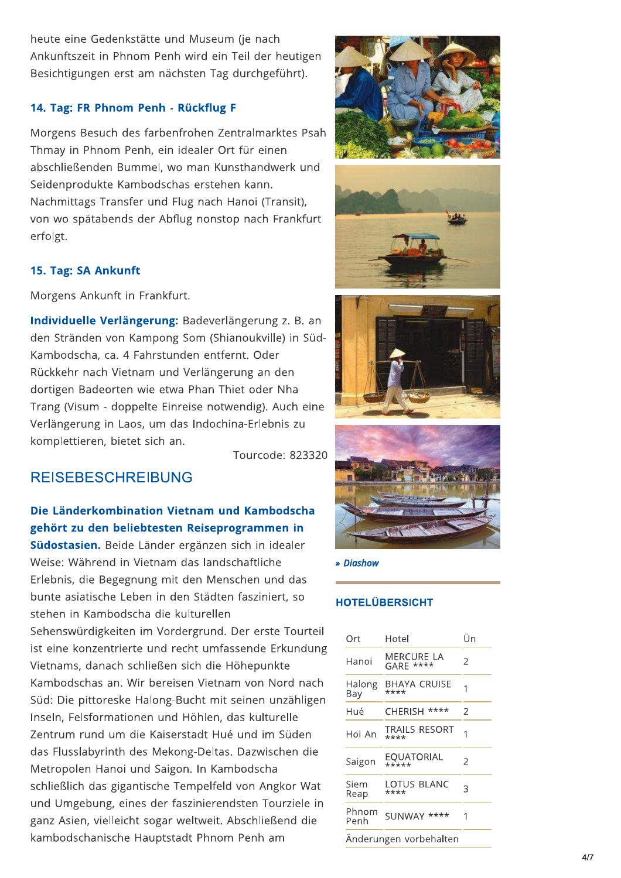heute eine Gedenkstätte und Museum (je nach Ankunftszeit in Phnom Penh wird ein Teil der heutigen Besichtigungen erst am nächsten Tag durchgeführt).

#### 14. Tag: FR Phnom Penh - Rückflug F

Morgens Besuch des farbenfrohen Zentralmarktes Psah Thmay in Phnom Penh, ein idealer Ort für einen abschließenden Bummel, wo man Kunsthandwerk und Seidenprodukte Kambodschas erstehen kann. Nachmittags Transfer und Flug nach Hanoi (Transit), von wo spätabends der Abflug nonstop nach Frankfurt erfolgt.

#### 15. Tag: SA Ankunft

Morgens Ankunft in Frankfurt.

Individuelle Verlängerung: Badeverlängerung z. B. an den Stränden von Kampong Som (Shianoukville) in Süd-Kambodscha, ca. 4 Fahrstunden entfernt. Oder Rückkehr nach Vietnam und Verlängerung an den dortigen Badeorten wie etwa Phan Thiet oder Nha Trang (Visum - doppelte Einreise notwendig). Auch eine Verlängerung in Laos, um das Indochina-Erlebnis zu komplettieren, bietet sich an.

Tourcode: 823320

# **REISEBESCHREIBUNG**

# Die Länderkombination Vietnam und Kambodscha gehört zu den beliebtesten Reiseprogrammen in

Südostasien. Beide Länder ergänzen sich in idealer Weise: Während in Vietnam das landschaftliche Erlebnis, die Begegnung mit den Menschen und das bunte asiatische Leben in den Städten fasziniert, so stehen in Kambodscha die kulturellen

Sehenswürdigkeiten im Vordergrund. Der erste Tourteil ist eine konzentrierte und recht umfassende Erkundung Vietnams, danach schließen sich die Höhepunkte Kambodschas an. Wir bereisen Vietnam von Nord nach Süd: Die pittoreske Halong-Bucht mit seinen unzähligen Inseln, Felsformationen und Höhlen, das kulturelle Zentrum rund um die Kaiserstadt Hué und im Süden das Flusslabyrinth des Mekong-Deltas. Dazwischen die Metropolen Hanoi und Saigon. In Kambodscha schließlich das gigantische Tempelfeld von Angkor Wat und Umgebung, eines der faszinierendsten Tourziele in ganz Asien, vielleicht sogar weltweit. Abschließend die kambodschanische Hauptstadt Phnom Penh am









#### » Diashow

### **HOTELÜBERSICHT**

| Ort                    | Hotel                        | Ün |  |
|------------------------|------------------------------|----|--|
| Hanoi                  | MERCURE LA<br>GARE ****      | 2  |  |
| Halong<br>Bay          | <b>BHAYA CRUISE</b><br>****  | 1  |  |
| Hué                    | CHERISH ****                 | 2  |  |
| Hoi An                 | <b>TRAILS RESORT</b><br>**** |    |  |
| Saigon                 | EQUATORIAL<br>*****          | 2  |  |
| Siem<br>Reap           | LOTUS BLANC<br>****          | 3  |  |
| Phnom<br>Penh          | SUNWAY ****                  | 1  |  |
| Anderungen vorbehalten |                              |    |  |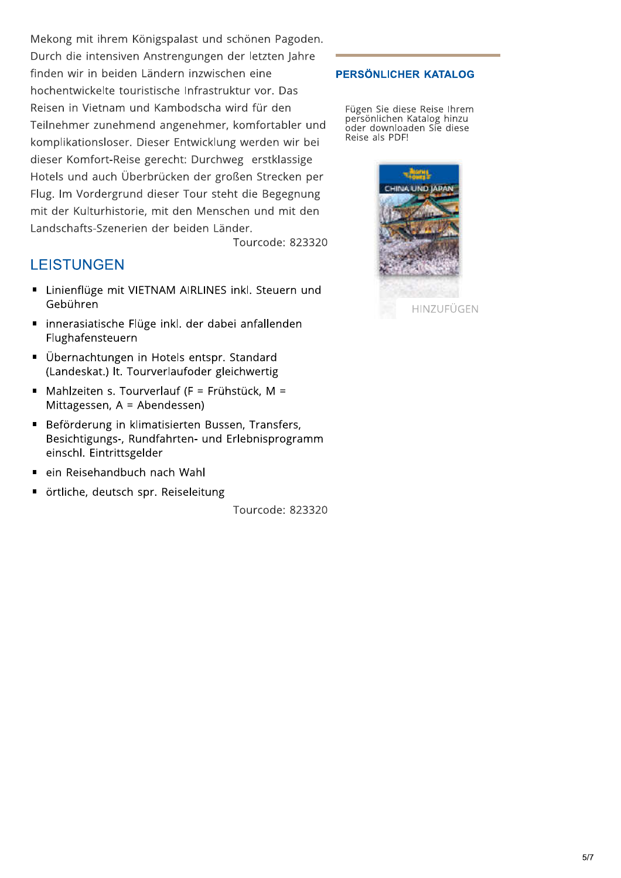Mekong mit ihrem Königspalast und schönen Pagoden. Durch die intensiven Anstrengungen der letzten Jahre finden wir in beiden Ländern inzwischen eine hochentwickelte touristische Infrastruktur vor. Das Reisen in Vietnam und Kambodscha wird für den Teilnehmer zunehmend angenehmer, komfortabler und komplikationsloser. Dieser Entwicklung werden wir bei dieser Komfort-Reise gerecht: Durchweg erstklassige Hotels und auch Überbrücken der großen Strecken per Flug. Im Vordergrund dieser Tour steht die Begegnung mit der Kulturhistorie, mit den Menschen und mit den Landschafts-Szenerien der beiden Länder.

Tourcode: 823320

# **LEISTUNGEN**

- Linienflüge mit VIETNAM AIRLINES inkl. Steuern und Gebühren
- innerasiatische Flüge inkl. der dabei anfallenden Flughafensteuern
- Übernachtungen in Hotels entspr. Standard (Landeskat.) lt. Tourverlaufoder gleichwertig
- Mahlzeiten s. Tourverlauf (F = Frühstück, M = Mittagessen,  $A = Ab$ endessen)
- Beförderung in klimatisierten Bussen, Transfers, Besichtigungs-, Rundfahrten- und Erlebnisprogramm einschl. Eintrittsgelder
- ein Reisehandbuch nach Wahl
- örtliche, deutsch spr. Reiseleitung

Tourcode: 823320

#### PERSÖNLICHER KATALOG

Fügen Sie diese Reise Ihrem<br>persönlichen Katalog hinzu oder downloaden Sie diese Reise als PDF!

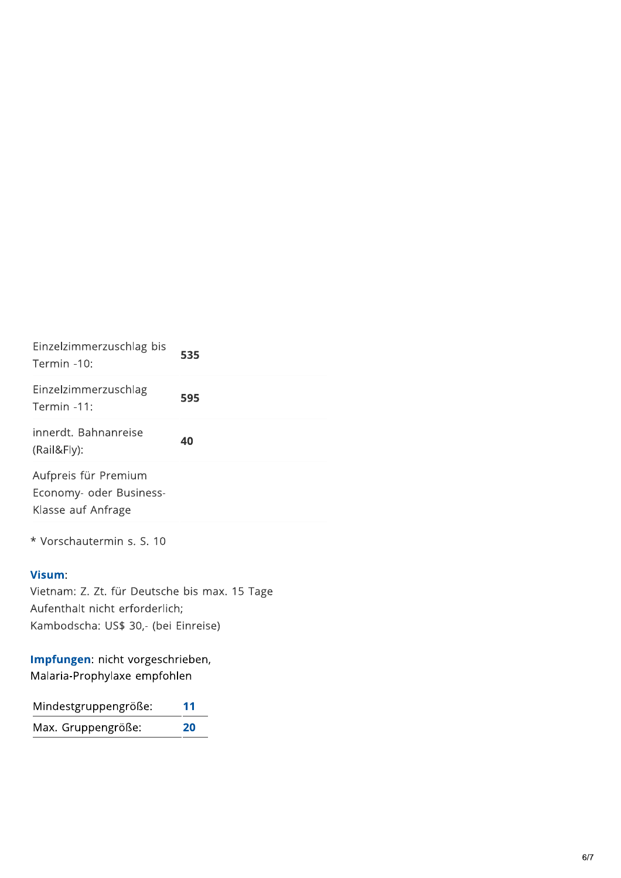| Einzelzimmerzuschlag bis<br>Termin -10:                               | 535 |
|-----------------------------------------------------------------------|-----|
| Einzelzimmerzuschlag<br>Termin -11:                                   | 595 |
| innerdt. Bahnanreise<br>(Rail&Fly):                                   | 40  |
| Aufpreis für Premium<br>Economy- oder Business-<br>Klasse auf Anfrage |     |
| * Vorschautermin s. S. 10                                             |     |
| $\mathbf{V}$ . $\mathbf{V}$                                           |     |

### Visum:

Vietnam: Z. Zt. für Deutsche bis max. 15 Tage Aufenthalt nicht erforderlich; Kambodscha: US\$ 30,- (bei Einreise)

Impfungen: nicht vorgeschrieben, Malaria-Prophylaxe empfohlen

| Mindestgruppengröße: | 11 |
|----------------------|----|
| Max. Gruppengröße:   | 20 |